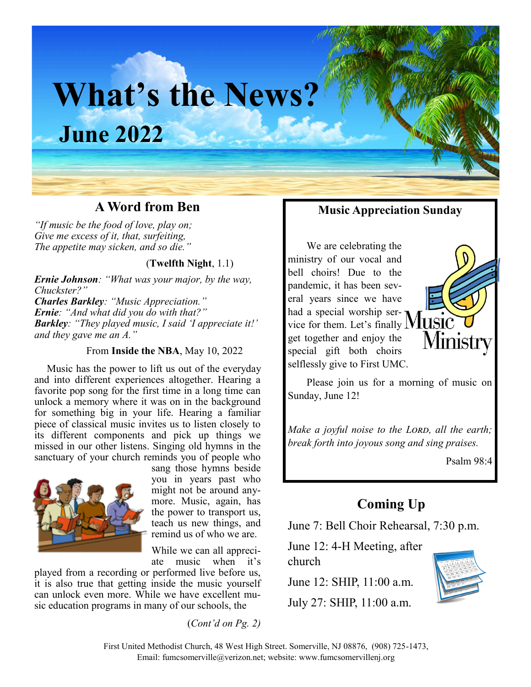# **What's the News? June 2022**

## **A Word from Ben**

*"If music be the food of love, play on; Give me excess of it, that, surfeiting, The appetite may sicken, and so die."*

#### (**Twelfth Night**, 1.1)

*Ernie Johnson: "What was your major, by the way, Chuckster?"*

*Charles Barkley: "Music Appreciation." Ernie: "And what did you do with that?" Barkley: "They played music, I said 'I appreciate it!' and they gave me an A."*

#### From **Inside the NBA**, May 10, 2022

Music has the power to lift us out of the everyday and into different experiences altogether. Hearing a favorite pop song for the first time in a long time can unlock a memory where it was on in the background for something big in your life. Hearing a familiar piece of classical music invites us to listen closely to its different components and pick up things we missed in our other listens. Singing old hymns in the sanctuary of your church reminds you of people who



sang those hymns beside you in years past who might not be around anymore. Music, again, has the power to transport us, teach us new things, and remind us of who we are.

While we can all appreciate music when it's

played from a recording or performed live before us, it is also true that getting inside the music yourself can unlock even more. While we have excellent music education programs in many of our schools, the

(*Cont'd on Pg. 2)*

### **Music Appreciation Sunday**

We are celebrating the ministry of our vocal and bell choirs! Due to the pandemic, it has been several years since we have had a special worship service for them. Let's finally  $M$ USIC get together and enjoy the special gift both choirs selflessly give to First UMC.



Please join us for a morning of music on Sunday, June 12!

*Make a joyful noise to the Lord, all the earth; break forth into joyous song and sing praises.*

Psalm 98:4

## **Coming Up**

June 7: Bell Choir Rehearsal, 7:30 p.m.

June 12: 4-H Meeting, after church

June 12: SHIP, 11:00 a.m. July 27: SHIP, 11:00 a.m.



First United Methodist Church, 48 West High Street. Somerville, NJ 08876, (908) 725-1473, Email: fumcsomerville@verizon.net; website: www.fumcsomervillenj.org